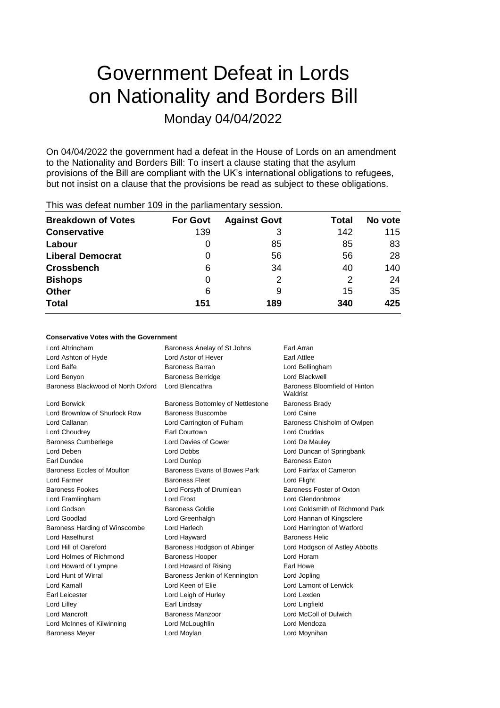# Government Defeat in Lords on Nationality and Borders Bill Monday 04/04/2022

On 04/04/2022 the government had a defeat in the House of Lords on an amendment to the Nationality and Borders Bill: To insert a clause stating that the asylum provisions of the Bill are compliant with the UK's international obligations to refugees, but not insist on a clause that the provisions be read as subject to these obligations.

| <b>Breakdown of Votes</b> | <b>For Govt</b> | <b>Against Govt</b> | Total | No vote |
|---------------------------|-----------------|---------------------|-------|---------|
| <b>Conservative</b>       | 139             | 3                   | 142   | 115     |
| Labour                    |                 | 85                  | 85    | 83      |
| <b>Liberal Democrat</b>   | 0               | 56                  | 56    | 28      |
| <b>Crossbench</b>         | 6               | 34                  | 40    | 140     |
| <b>Bishops</b>            | 0               |                     | 2     | 24      |
| <b>Other</b>              | 6               | 9                   | 15    | 35      |
| <b>Total</b>              | 151             | 189                 | 340   | 425     |
|                           |                 |                     |       |         |

## This was defeat number 109 in the parliamentary session.

## **Conservative Votes with the Government**

| Lord Altrincham                    | Baroness Anelay of St Johns       | Earl Arran                                |
|------------------------------------|-----------------------------------|-------------------------------------------|
| Lord Ashton of Hyde                | Lord Astor of Hever               | <b>Earl Attlee</b>                        |
| Lord Balfe                         | Baroness Barran                   | Lord Bellingham                           |
| Lord Benyon                        | <b>Baroness Berridge</b>          | Lord Blackwell                            |
| Baroness Blackwood of North Oxford | Lord Blencathra                   | Baroness Bloomfield of Hinton<br>Waldrist |
| Lord Borwick                       | Baroness Bottomley of Nettlestone | <b>Baroness Brady</b>                     |
| Lord Brownlow of Shurlock Row      | Baroness Buscombe                 | Lord Caine                                |
| Lord Callanan                      | Lord Carrington of Fulham         | Baroness Chisholm of Owlpen               |
| Lord Choudrey                      | <b>Earl Courtown</b>              | <b>Lord Cruddas</b>                       |
| <b>Baroness Cumberlege</b>         | Lord Davies of Gower              | Lord De Mauley                            |
| Lord Deben                         | Lord Dobbs                        | Lord Duncan of Springbank                 |
| Earl Dundee                        | Lord Dunlop                       | <b>Baroness Eaton</b>                     |
| <b>Baroness Eccles of Moulton</b>  | Baroness Evans of Bowes Park      | Lord Fairfax of Cameron                   |
| Lord Farmer                        | <b>Baroness Fleet</b>             | Lord Flight                               |
| <b>Baroness Fookes</b>             | Lord Forsyth of Drumlean          | Baroness Foster of Oxton                  |
| Lord Framlingham                   | Lord Frost                        | Lord Glendonbrook                         |
| Lord Godson                        | <b>Baroness Goldie</b>            | Lord Goldsmith of Richmond Park           |
| Lord Goodlad                       | Lord Greenhalgh                   | Lord Hannan of Kingsclere                 |
| Baroness Harding of Winscombe      | Lord Harlech                      | Lord Harrington of Watford                |
| Lord Haselhurst                    | Lord Hayward                      | <b>Baroness Helic</b>                     |
| Lord Hill of Oareford              | Baroness Hodgson of Abinger       | Lord Hodgson of Astley Abbotts            |
| Lord Holmes of Richmond            | <b>Baroness Hooper</b>            | Lord Horam                                |
| Lord Howard of Lympne              | Lord Howard of Rising             | Earl Howe                                 |
| Lord Hunt of Wirral                | Baroness Jenkin of Kennington     | Lord Jopling                              |
| Lord Kamall                        | Lord Keen of Elie                 | Lord Lamont of Lerwick                    |
| Earl Leicester                     | Lord Leigh of Hurley              | Lord Lexden                               |
| Lord Lilley                        | Earl Lindsay                      | Lord Lingfield                            |
| <b>Lord Mancroft</b>               | Baroness Manzoor                  | Lord McColl of Dulwich                    |
| Lord McInnes of Kilwinning         | Lord McLoughlin                   | Lord Mendoza                              |
| <b>Baroness Meyer</b>              | Lord Moylan                       | Lord Moynihan                             |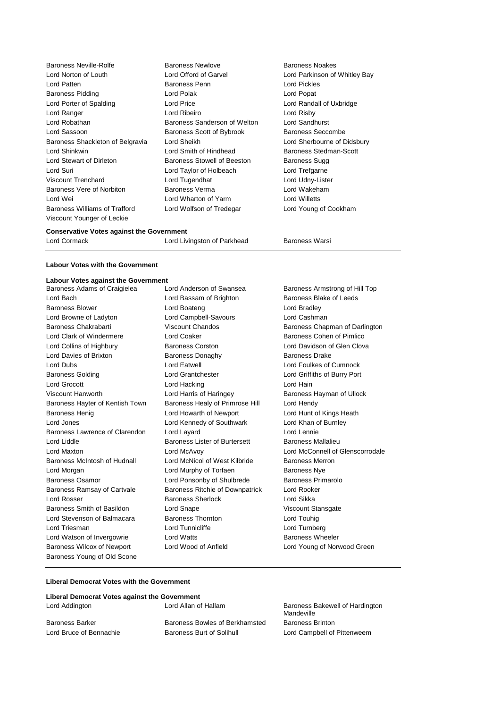| Baroness Neville-Rolfe           | <b>Baroness Newlove</b>      | Baroness Noakes               |
|----------------------------------|------------------------------|-------------------------------|
| Lord Norton of Louth             | Lord Offord of Garvel        | Lord Parkinson of Whitley Bay |
| Lord Patten                      | <b>Baroness Penn</b>         | Lord Pickles                  |
| <b>Baroness Pidding</b>          | Lord Polak                   | Lord Popat                    |
| Lord Porter of Spalding          | Lord Price                   | Lord Randall of Uxbridge      |
| Lord Ranger                      | Lord Ribeiro                 | Lord Risby                    |
| Lord Robathan                    | Baroness Sanderson of Welton | Lord Sandhurst                |
| Lord Sassoon                     | Baroness Scott of Bybrook    | Baroness Seccombe             |
| Baroness Shackleton of Belgravia | Lord Sheikh                  | Lord Sherbourne of Didsbury   |
| Lord Shinkwin                    | Lord Smith of Hindhead       | Baroness Stedman-Scott        |
| Lord Stewart of Dirleton         | Baroness Stowell of Beeston  | Baroness Sugg                 |
| Lord Suri                        | Lord Taylor of Holbeach      | Lord Trefgarne                |
| Viscount Trenchard               | Lord Tugendhat               | Lord Udny-Lister              |
| Baroness Vere of Norbiton        | Baroness Verma               | Lord Wakeham                  |
| Lord Wei                         | Lord Wharton of Yarm         | <b>Lord Willetts</b>          |
| Baroness Williams of Trafford    | Lord Wolfson of Tredegar     | Lord Young of Cookham         |
| Viscount Younger of Leckie       |                              |                               |

#### **Conservative Votes against the Government**

| Lord Cormack | Lord Livingston of Parkhead | Baroness Warsi |  |
|--------------|-----------------------------|----------------|--|

## **Labour Votes with the Government**

## **Labour Votes against the Government**

| soar votos agamst the ooverning |                                        |                                  |
|---------------------------------|----------------------------------------|----------------------------------|
| Baroness Adams of Craigielea    | Lord Anderson of Swansea               | Baroness Armstrong of Hill Top   |
| Lord Bach                       | Lord Bassam of Brighton                | Baroness Blake of Leeds          |
| <b>Baroness Blower</b>          | Lord Boateng                           | Lord Bradley                     |
| Lord Browne of Ladyton          | Lord Campbell-Savours                  | Lord Cashman                     |
| Baroness Chakrabarti            | Viscount Chandos                       | Baroness Chapman of Darlington   |
| Lord Clark of Windermere        | Lord Coaker                            | Baroness Cohen of Pimlico        |
| Lord Collins of Highbury        | <b>Baroness Corston</b>                | Lord Davidson of Glen Clova      |
| Lord Davies of Brixton          | <b>Baroness Donaghy</b>                | Baroness Drake                   |
| Lord Dubs                       | Lord Eatwell                           | Lord Foulkes of Cumnock          |
| <b>Baroness Golding</b>         | <b>Lord Grantchester</b>               | Lord Griffiths of Burry Port     |
| Lord Grocott                    | Lord Hacking                           | Lord Hain                        |
| Viscount Hanworth               | Lord Harris of Haringey                | Baroness Hayman of Ullock        |
| Baroness Hayter of Kentish Town | Baroness Healy of Primrose Hill        | Lord Hendy                       |
| <b>Baroness Henig</b>           | Lord Howarth of Newport                | Lord Hunt of Kings Heath         |
| Lord Jones                      | Lord Kennedy of Southwark              | Lord Khan of Burnley             |
| Baroness Lawrence of Clarendon  | Lord Layard                            | Lord Lennie                      |
| Lord Liddle                     | <b>Baroness Lister of Burtersett</b>   | <b>Baroness Mallalieu</b>        |
| Lord Maxton                     | Lord McAvoy                            | Lord McConnell of Glenscorrodale |
| Baroness McIntosh of Hudnall    | Lord McNicol of West Kilbride          | <b>Baroness Merron</b>           |
| Lord Morgan                     | Lord Murphy of Torfaen                 | <b>Baroness Nye</b>              |
| Baroness Osamor                 | Lord Ponsonby of Shulbrede             | Baroness Primarolo               |
| Baroness Ramsay of Cartvale     | <b>Baroness Ritchie of Downpatrick</b> | Lord Rooker                      |
| Lord Rosser                     | <b>Baroness Sherlock</b>               | Lord Sikka                       |
| Baroness Smith of Basildon      | Lord Snape                             | Viscount Stansgate               |
| Lord Stevenson of Balmacara     | <b>Baroness Thornton</b>               | Lord Touhig                      |
| Lord Triesman                   | Lord Tunnicliffe                       | Lord Turnberg                    |
| Lord Watson of Invergowrie      | <b>Lord Watts</b>                      | <b>Baroness Wheeler</b>          |
| Baroness Wilcox of Newport      | Lord Wood of Anfield                   | Lord Young of Norwood Green      |
| Baroness Young of Old Scone     |                                        |                                  |

## **Liberal Democrat Votes with the Government**

| Liberal Democrat Votes against the Government |                                |                                               |  |
|-----------------------------------------------|--------------------------------|-----------------------------------------------|--|
| Lord Addington                                | Lord Allan of Hallam           | Baroness Bakewell of Hardington<br>Mandeville |  |
| <b>Baroness Barker</b>                        | Baroness Bowles of Berkhamsted | <b>Baroness Brinton</b>                       |  |
| Lord Bruce of Bennachie                       | Baroness Burt of Solihull      | Lord Campbell of Pittenweem                   |  |